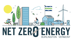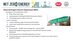

## **About Burlington Electric Department (BED)**

- Burlington's municipal electric utility
	- Public Power since 1905
	- 118 employees, including the McNeil Generating Station
	- Third-largest electric utility in Vermont
- □ 21,000+ customers
	- 17,282 residential, 3,983 commercial and industrial
	- ◼ 5,500-6,000 residential accounts turn over each year
- $\Box$  Electricity facts:
	- ◼ Summer peak: ~65 MW; Annual energy Use: ~330,000 MWH
	- McNeil is the largest energy producer in Vermont with Vermont Yankee Retirement
	- 100% of power from renewable generation as of 2014
	- No rate increase from 2009-2021; first rate change in 12 years in 2021 due in part to pandemic impacts

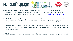

**Vision: Make Burlington a Net Zero Energy city** across electric, thermal, and ground transportation sectors by managing demand, realizing efficiency gains, and expanding local renewable generation while increasing system resilience. <https://www.burlingtonelectric.com/nze>

- ❑ The Net Zero Energy Roadmap was adopted by the City Council in September 2019 and was recognized by the Smart Electric Power Alliance as the "first US Net-Zero 2030 plan."
- ❑ The Roadmap project involves all City Departments and contemplates work with key external partners such as Champlain Valley Weatherization Services and VGS for weatherization efforts and district energy.
- ❑ The Roadmap includes focus on incentives, policy, partnerships, and community engagement.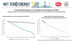

## **Currently Burlington is on the Net Zero Energy 2030 Path**

**Synapse Energy Economics Net Zero Energy Roadmap Update for 2019 and 2020 Data – Commissioned by BED**



**Roadmap Business as Usual compared to NZE Path**

**Actual Fossil Fuel Energy Consumption**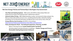

## **Net Zero Energy Policies and Partnerships in Burlington City Government**

- **City Fleet and Heating Systems** BED works with DPW to help analyze fleet and equipment purchases and heating system replacement options.
- **Internal Carbon Pricing** BED helped develop a carbon pricing tool to help evaluate City fleet purchase alternatives at \$100 a ton, something that has been utilized by leading businesses such as Seventh Generation and Ben & Jerry's but not by many cities yet.
- **Energy efficiency benchmarking** with DPW in City buildings <https://www.burlingtonvt.gov/btvstat/City-Parks-Water-and-Environment>
- **Policy Development Work – Permitting & Inspections, Planning, and BED**
	- Mayor's Housing Summit **rental weatherization standards**
	- Decarbonization and electrification in buildings **Charter Change and Primary Renewable Heating Requirement Ordinance**